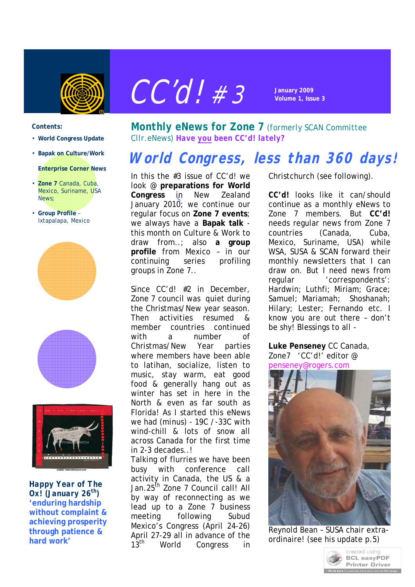



#### *Contents:*

- **World Congress Update**
- **Bapak on Culture/Work**
- **Enterprise Corner News**
- **Zone 7** Canada, Cuba, Mexico, Suriname, USA News;
- **Group Profile** Ixtapalapa, Mexico







*Happy Year of The Ox! (January 26th) '***enduring hardship without complaint & achieving prosperity through patience & hard work'**

*Monthly eNews for Zone 7 (formerly SCAN Committee Cllr.eNews) Have you been CC'd! lately?*

# **World Congress, less than 360 days!**

In this the #3 issue of CC'd! we In this the #3 issue of CC'd! we<br>look @ preparations for World **Congress** in New Zealand January 2010; we continue our S regular focus on **Zone 7 events**; we always have a **Bapak talk** this month on Culture & Work to draw from..; also **a group profile** from Mexico – in our continuing series profiling groups in Zone 7..

Since CC'd! #2 in December, Zone 7 council was quiet during the Christmas/New year season. Then activities resumed & member countries continued with a number of Christmas/New Year parties where members have been able to latihan, socialize, listen to music, stay warm, eat good food & generally hang out as winter has set in here in the North & even as far south as Florida! As I started this eNews we had (minus) - 19C /-33C with wind-chill & lots of snow all across Canada for the first time in 2-3 decades..!

Talking of flurries we have been busy with conference call activity in Canada, the US & a Jan.25<sup>th</sup> Zone 7 Council call! All by way of reconnecting as we lead up to a Zone 7 business meeting following Subud Mexico's Congress (April 24-26) April 27-29 all in advance of the 13<sup>th</sup> World Congress in Christchurch (see following).

*CC'd!* looks like it can/should continue as a monthly eNews to Zone 7 members. But *CC'd!* needs regular news from Zone 7 countries (Canada, Cuba, Mexico, Suriname, USA) while WSA, SUSA & SCAN forward their monthly newsletters that I can draw on. But I need news from regular 'correspondents': Hardwin; Luthfi; Miriam; Grace; Samuel; Mariamah; Shoshanah; Hilary; Lester; Fernando etc. I know you are out there – don't be shy! Blessings to all -

**Luke Penseney** CC Canada, Zone7 'CC'd!' editor @ penseney@rogers.com



Reynold Bean – SUSA chair extraordinaire! (see his update p.5)

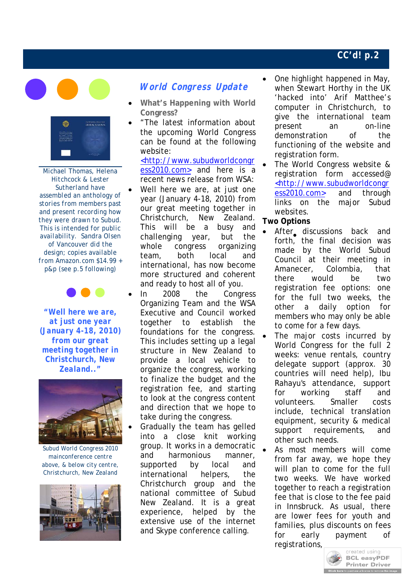



*Michael Thomas, Helena Hitchcock & Lester Sutherland have assembled an anthology of stories from members past and present recording how they were drawn to Subud. This is intended for public availability. Sandra Olsen of Vancouver did the design; copies available from Amazon.com \$14.99 + p&p (see p.5 following)*



*"Well here we are, at just one year (January 4-18, 2010) from our great meeting together in Christchurch, New Zealand.."*



*Subud World Congress 2010 mainconference centre above, & below city centre, Christchurch, New Zealand*



# **World Congress Update**

- **What's Happening with World Congress?**
- "The latest information about the upcoming World Congress can be found at the following website:

<http://www.subudworldcongr ess2010.com> and here is a recent news release from WSA:

- Well here we are, at just one year (January 4-18, 2010) from our great meeting together in Christchurch, New Zealand. This will be a busy and challenging year, but the whole congress organizing team, both local and international, has now become more structured and coherent and ready to host all of you.
- In 2008 the Congress Organizing Team and the WSA Executive and Council worked together to establish the foundations for the congress. This includes setting up a legal structure in New Zealand to provide a local vehicle to organize the congress, working to finalize the budget and the registration fee, and starting to look at the congress content and direction that we hope to take during the congress.

 Gradually the team has gelled into a close knit working group. It works in a democratic and harmonious manner, supported by local and international helpers, the Christchurch group and the national committee of Subud New Zealand. It is a great experience, helped by the extensive use of the internet and Skype conference calling.

- One highlight happened in May, when Stewart Horthy in the UK 'hacked into' Arif Matthee's computer in Christchurch, to give the international team present an on-line demonstration of the functioning of the website and registration form.
- The World Congress website & registration form accessed@ <http://www.subudworldcongr ess2010.com> and through links on the major Subud websites.

**Two Options** 

- After discussions back and forth, the final decision was made by the World Subud Council at their meeting in Amanecer, Colombia, that there would be two registration fee options: one for the full two weeks, the other a daily option for members who may only be able to come for a few days.
- The major costs incurred by World Congress for the full 2 weeks: venue rentals, country delegate support (approx. 30 countries will need help), Ibu Rahayu's attendance, support for working staff and volunteers. Smaller costs include, technical translation equipment, security & medical support requirements, and other such needs.
- As most members will come from far away, we hope they will plan to come for the full two weeks. We have worked together to reach a registration fee that is close to the fee paid in Innsbruck. As usual, there are lower fees for youth and families, plus discounts on fees for early payment of registrations,

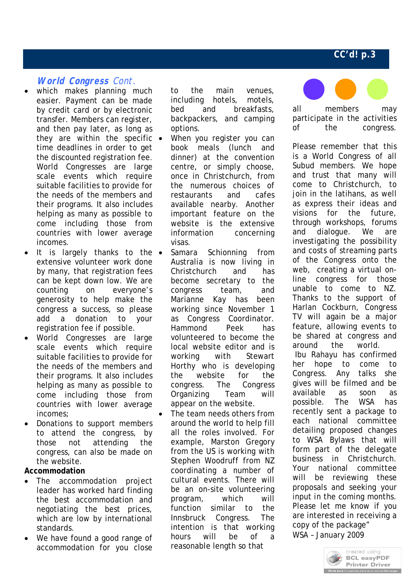### **World Congress** Cont*.*

- which makes planning much easier. Payment can be made by credit card or by electronic transfer. Members can register, and then pay later, as long as they are within the specific  $\bullet$ time deadlines in order to get the discounted registration fee. World Congresses are large scale events which require suitable facilities to provide for the needs of the members and their programs. It also includes helping as many as possible to come including those from countries with lower average incomes.
- It is largely thanks to the  $\bullet$ extensive volunteer work done by many, that registration fees can be kept down low. We are counting on everyone's generosity to help make the congress a success, so please add a donation to your registration fee if possible.
- World Congresses are large scale events which require suitable facilities to provide for the needs of the members and their programs. It also includes helping as many as possible to come including those from countries with lower average incomes;
- Donations to support members to attend the congress, by those not attending the congress, can also be made on the website.

**Accommodation**

- The accommodation project leader has worked hard finding the best accommodation and negotiating the best prices, which are low by international standards.
- We have found a good range of accommodation for you close

to the main venues, including hotels, motels, bed and breakfasts, backpackers, and camping options.

- When you register you can book meals (lunch and dinner) at the convention centre, or simply choose, once in Christchurch, from the numerous choices of restaurants and cafes available nearby. Another important feature on the website is the extensive information concerning visas.
- or the<br>Congress Samara Schionning from Australia is now living in Christchurch and has become secretary to the congress team, and Marianne Kay has been working since November 1 as Congress Coordinator. Hammond Peek has volunteered to become the local website editor and is working with Stewart Horthy who is developing the website for congress. The Organizing Team will appear on the website.
- The team needs others from around the world to help fill all the roles involved. For example, Marston Gregory from the US is working with Stephen Woodruff from NZ coordinating a number of cultural events. There will be an on-site volunteering program, which will function similar to the Innsbruck Congress. The intention is that working hours will be of a reasonable length so that



all members may participate in the activities of the congress.

Please remember that this is a World Congress of all Subud members. We hope and trust that many will come to Christchurch, to join in the latihans, as well as express their ideas and visions for the future, through workshops, forums and dialogue. We are investigating the possibility and costs of streaming parts of the Congress onto the web, creating a virtual online congress for those unable to come to NZ. Thanks to the support of Harlan Cockburn, Congress TV will again be a major feature, allowing events to be shared at congress and around the world. Ibu Rahayu has confirmed her hope to come to Congress. Any talks she gives will be filmed and be available as soon as possible. The WSA has recently sent a package to each national committee detailing proposed changes to WSA Bylaws that will form part of the delegate business in Christchurch. Your national committee will be reviewing these proposals and seeking your input in the coming months. Please let me know if you are interested in receiving a copy of the package" WSA – January 2009

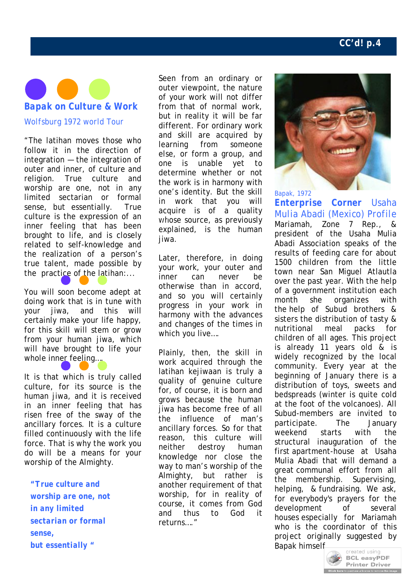

"The latihan moves those who follow it in the direction of integration — the integration of outer and inner, of culture and religion. True culture and worship are one, not in any limited sectarian or formal sense, but essentially. True culture is the expression of an inner feeling that has been brought to life, and is closely related to self-knowledge and the realization of a person's true talent, made possible by the practice of the latihan:...

You will soon become adept at doing work that is in tune with your jiwa, and this will certainly make your life happy, for this skill will stem or grow from your human jiwa, which will have brought to life your whole inner feeling...

It is that which is truly called culture, for its source is the human jiwa, and it is received in an inner feeling that has risen free of the sway of the ancillary forces. It is a culture filled continuously with the life force. That is why the work you do will be a means for your worship of the Almighty.

*"True culture and worship are one, not in any limited sectarian or formal sense, but essentially "* 

Seen from an ordinary or outer viewpoint, the nature of your work will not differ from that of normal work, but in reality it will be far different. For ordinary work and skill are acquired by learning from someone else, or form a group, and one is unable yet to determine whether or not the work is in harmony with one's identity. But the skill in work that you will acquire is of a quality whose source, as previously explained, is the human jiwa.

Later, therefore, in doing your work, your outer and inner can never be otherwise than in accord, and so you will certainly progress in your work in harmony with the advances and changes of the times in which you live….

Plainly, then, the skill in work acquired through the latihan kejiwaan is truly a quality of genuine culture for, of course, it is born and grows because the human jiwa has become free of all the influence of man's ancillary forces. So for that reason, this culture will neither destroy human knowledge nor close the way to man's worship of the Almighty, but rather is another requirement of that worship, for in reality of course, it comes from God and thus to God it returns…."



#### *Bapak, 1972*

*Enterprise Corner Usaha Mulia Abadi (Mexico) Profile* Mariamah, Zone 7 Rep., & president of the Usaha Mulia Abadi Association speaks of the results of feeding care for about 1500 children from the little town near San Miguel Atlautla over the past year. With the help of a government institution each month she organizes with the help of Subud brothers & sisters the distribution of tasty & nutritional meal packs for children of all ages. This project is already 11 years old & is widely recognized by the local community. Every year at the beginning of January there is a distribution of toys, sweets and bedspreads (winter is quite cold at the foot of the volcanoes). All Subud-members are invited to participate. The January weekend starts with the structural inauguration of the first apartment-house at Usaha Mulia Abadi that will demand a great communal effort from all the membership. Supervising, helping, & fundraising. We ask, for everybody's prayers for the development of several houses especially for Mariamah who is the coordinator of this project originally suggested by Bapak himsel[f.](http://www.pdfonline.com/easypdf/?gad=CLjUiqcCEgjbNejkqKEugRjG27j-AyCw_-AP)

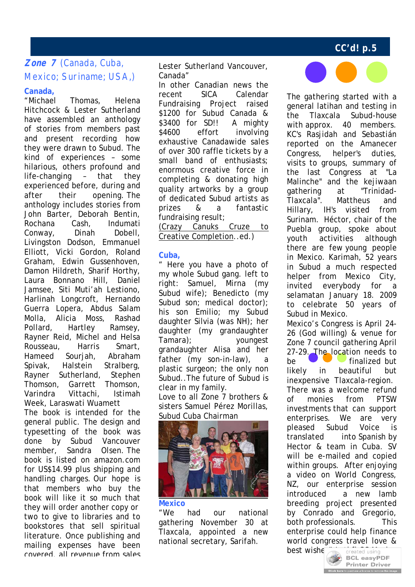# **Zone 7** (Canada, Cuba, Mexico; Suriname; USA,)

#### **Canada,**

"Michael Thomas, Helena Hitchcock & Lester Sutherland have assembled an anthology of stories from members past and present recording how they were drawn to Subud. The kind of experiences – some hilarious, others profound and life-changing – that they experienced before, during and after their opening. The anthology includes stories from John Barter, Deborah Bentin, Rochana Cash, Indumati Conway, Dinah Dobell, Livingston Dodson, Emmanuel Elliott, Vicki Gordon, Roland Graham, Edwin Gussenhoven, Damon Hildreth, Sharif Horthy, Laura Bonnano Hill, Daniel Jamsee, Siti Muti'ah Lestiono, Harlinah Longcroft, Hernando Guerra Lopera, Abdus Salam Molla, Alicia Moss, Rashad Pollard, Hartley Ramsey, Rayner Reid, Michel and Helsa Rousseau, Harris Smart, Hameed Sourjah, Abraham Spivak, Halstein Stralberg, Rayner Sutherland, Stephen Thomson, Garrett Thomson, Varindra Vittachi, Istimah Week, Laraswati Wuamett

The book is intended for the general public. The design and typesetting of the book was done by Subud Vancouver member, Sandra Olsen. The book is listed on amazon.com for US\$14.99 plus shipping and handling charges. Our hope is that members who buy the book will like it so much that they will order another copy or two to give to libraries and to bookstores that sell spiritual literature. Once publishing and mailing expenses have been covered, all revenue from sales

Lester Sutherland Vancouver, Canada"

In other Canadian news the recent SICA Calendar Fundraising Project raised \$1200 for Subud Canada & \$3400 for SD!! A mighty \$4600 effort involving exhaustive Canadawide sales of over 300 raffle tickets by a small band of enthusiasts; enormous creative force in completing & donating high quality artworks by a group of dedicated Subud artists as prizes & a fantastic fundraising result;

(Crazy Canuks Cruze to Creative Completion..ed.)

### **Cuba,**

" Here you have a photo of my whole Subud gang. left to right: Samuel, Mirna (my Subud wife); Benedicto (my Subud son; medical doctor); his son Emilio; my Subud daughter Silvia (was NH); her daughter (my grandaughter Tamara); youngest grandaughter Alisa and her father (my son-in-law), a plastic surgeon; the only non Subud..The future of Subud is clear in my family.

Love to all Zone 7 brothers & sisters Samuel Pérez Morillas, Subud Cuba Chairman



### **Mexico**

"We had our national gathering November 30 at Tlaxcala, appointed a new national secretary, Sarifah.



The gathering started with a general latihan and testing in the Tlaxcala Subud-house with approx. 40 members. KC's Rasjidah and Sebastián reported on the Amanecer Congress, helper's duties, visits to groups, summary of the last Congress at "La Malinche" and the kejiwaan gathering at "Trinidad-Tlaxcala". Mattheus and Hillary, IH's visited from Surinam. Héctor, chair of the Puebla group, spoke about youth activities although there are few young people in Mexico. Karimah, 52 years in Subud a much respected helper from Mexico City, invited everybody for a selamatan January 18. 2009 to celebrate 50 years of Subud in Mexico.

Mexico's Congress is April 24- 26 (God willing) & venue for Zone 7 council gathering April 27-29. The location needs to be **finalized** but likely in beautiful but inexpensive Tlaxcala-region. There was a welcome refund of monies from PTSW investments that can support enterprises. We are very pleased Subud Voice is translated into Spanish by Hector & team in Cuba. SV will be e-mailed and copied within groups. After enjoying a video on World Congress, NZ, our enterprise session introduced a new lamb breeding project presented by Conrado and Gregorio, both professionals. This enterprise could help finance world congress travel love &

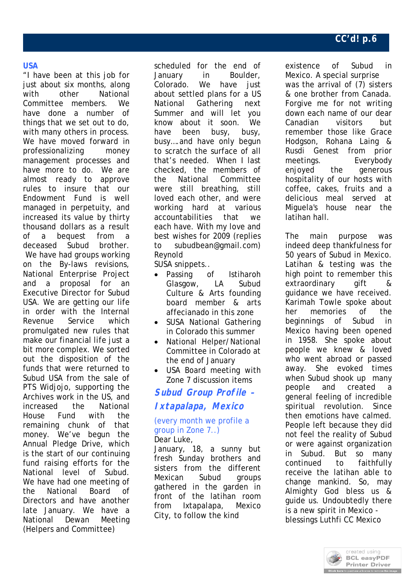#### **USA**

"I have been at this job for just about six months, along with other National Committee members. We have done a number of things that we set out to do, with many others in process. We have moved forward in professionalizing money management processes and have more to do. We are almost ready to approve rules to insure that our Endowment Fund is well managed in perpetuity, and increased its value by thirty thousand dollars as a result of a bequest from a deceased Subud brother. We have had groups working on the By-laws revisions, National Enterprise Project and a proposal for an Executive Director for Subud USA. We are getting our life in order with the Internal Revenue Service which promulgated new rules that make our financial life just a bit more complex. We sorted out the disposition of the funds that were returned to Subud USA from the sale of PTS Widjojo, supporting the Archives work in the US, and increased the National House Fund with the remaining chunk of that money. We've begun the Annual Pledge Drive, which is the start of our continuing fund raising efforts for the National level of Subud. We have had one meeting of the National Board of Directors and have another late January. We have a National Dewan Meeting (Helpers and Committee)

scheduled for the end of January in Boulder, Colorado. We have just about settled plans for a US National Gathering next Summer and will let you know about it soon. We have been busy, busy, busy….and have only begun to scratch the surface of all that's needed. When I last checked, the members of the National Committee were still breathing, still loved each other, and were working hard at various accountabilities that we each have. With my love and best wishes for 2009 (replies to subudbean@gmail.com) Reynold

SUSA snippets..

- Passing of Istiharoh Glasgow, LA Subud Culture & Arts founding board member & arts affecianado in this zone
- SUSA National Gathering in Colorado this summer
- National Helper/National Committee in Colorado at the end of January
- USA Board meeting with Zone 7 discussion items

# **Subud Group Profile – Ixtapalapa, Mexico**

#### (every month we profile a group in Zone 7..) Dear Luke.

January, 18, a sunny but fresh Sunday brothers and sisters from the different Mexican Subud groups gathered in the garden in front of the latihan room from Ixtapalapa, Mexico City, to follow the kind

existence of Subud in Mexico. A special surprise was the arrival of (7) sisters & one brother from Canada. Forgive me for not writing down each name of our dear Canadian visitors but remember those like Grace Hodgson, Rohana Laing & Rusdi Genest from prior meetings. Everybody enjoyed the generous hospitality of our hosts with coffee, cakes, fruits and a delicious meal served at Miguela's house near the latihan hall.

The main purpose was indeed deep thankfulness for 50 years of Subud in Mexico. Latihan & testing was the high point to remember this extraordinary gift & guidance we have received. Karimah Towle spoke about her memories of the beginnings of Subud in Mexico having been opened in 1958. She spoke about people we knew & loved who went abroad or passed away. She evoked times when Subud shook up many people and created a general feeling of incredible spiritual revolution. Since then emotions have calmed. People left because they did not feel the reality of Subud or were against organization in Subud. But so many continued to faithfully receive the latihan able to change mankind. So, may Almighty God bless us & guide us. Undoubtedly there is a new spirit in Mexico blessings Luthfi CC Mexico